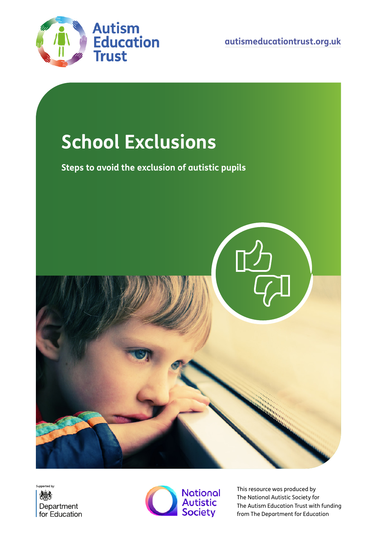

**[autismeducationtrust.org.uk](http://www.autismeducationtrust.org.uk)**

# **School Exclusions**

**Steps to avoid the exclusion of autistic pupils**







This resource was produced by The National Autistic Society for The Autism Education Trust with funding from The Department for Education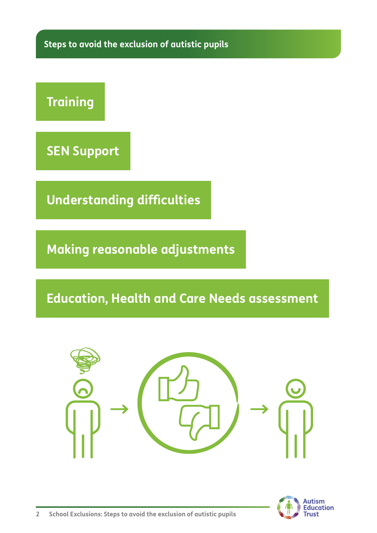**Steps to avoid the exclusion of autistic pupils**

## **Training**

**SEN Support**

**Understanding difficulties**

**Making reasonable adjustments**

### **Education, Health and Care Needs assessment**



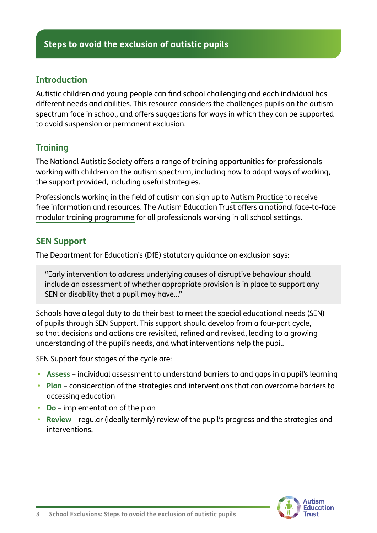#### **Introduction**

Autistic children and young people can find school challenging and each individual has different needs and abilities. This resource considers the challenges pupils on the autism spectrum face in school, and offers suggestions for ways in which they can be supported to avoid suspension or permanent exclusion.

#### **Training**

The National Autistic Society offers a range of [training opportunities for professionals](https://www.autism.org.uk/what-we-do/professional-development) working with children on the autism spectrum, including how to adapt ways of working, the support provided, including useful strategies.

Professionals working in the field of autism can sign up to [Autism Practice](http://Autism Practice) to receive free information and resources. The Autism Education Trust offers a national face-to-face [modular training programme](https://www.autismeducationtrust.org.uk/training-programme/schools/) for all professionals working in all school settings.

#### **SEN Support**

The Department for Education's (DfE) statutory guidance on exclusion says:

"Early intervention to address underlying causes of disruptive behaviour should include an assessment of whether appropriate provision is in place to support any SEN or disability that a pupil may have…"

Schools have a legal duty to do their best to meet the special educational needs (SEN) of pupils through SEN Support. This support should develop from a four-part cycle, so that decisions and actions are revisited, refined and revised, leading to a growing understanding of the pupil's needs, and what interventions help the pupil.

SEN Support four stages of the cycle are:

- **• Assess** individual assessment to understand barriers to and gaps in a pupil's learning
- **• Plan** consideration of the strategies and interventions that can overcome barriers to accessing education
- **• Do** implementation of the plan
- **• Review** regular (ideally termly) review of the pupil's progress and the strategies and interventions.

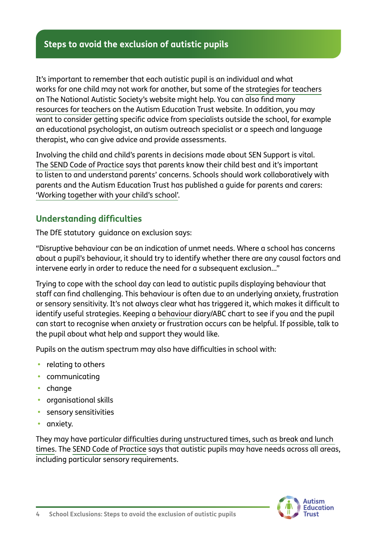#### **Steps to avoid the exclusion of autistic pupils**

It's important to remember that each autistic pupil is an individual and what works for one child may not work for another, but some of the [strategies for teachers](https://www.autism.org.uk/advice-and-guidance/topics/strategies-and-interventions/strategies-and-interventions) on The National Autistic Society's website might help. You can also find many [resources for teachers](https://www.autismeducationtrust.org.uk/resources/) on the Autism Education Trust website. In addition, you may want to consider getting specific advice from specialists outside the school, for example an educational psychologist, an autism outreach specialist or a speech and language therapist, who can give advice and provide assessments.

Involving the child and child's parents in decisions made about SEN Support is vital. [The SEND Code of Practice](https://assets.publishing.service.gov.uk/government/uploads/system/uploads/attachment_data/file/398815/SEND_Code_of_Practice_January_2015.pdf) says that parents know their child best and it's important to listen to and understand parents' concerns. Schools should work collaboratively with parents and the Autism Education Trust has published a guide for parents and carers: ['Working together with your child's school'](https://www.aettraininghubs.org.uk/wp-content/uploads/2014/07/AET_working_together_with_childs_school.pdf).

#### **Understanding difficulties**

The DfE statutory guidance on exclusion says:

"Disruptive behaviour can be an indication of unmet needs. Where a school has concerns about a pupil's behaviour, it should try to identify whether there are any causal factors and intervene early in order to reduce the need for a subsequent exclusion…"

Trying to cope with the school day can lead to autistic pupils displaying behaviour that staff can find challenging. This behaviour is often due to an underlying anxiety, frustration or sensory sensitivity. It's not always clear what has triggered it, which makes it difficult to identify useful strategies. Keeping a [behaviour](https://www.autism.org.uk/advice-and-guidance/topics/behaviour/distressed-behaviour/all-audiences) diary/ABC chart to see if you and the pupil can start to recognise when anxiety or frustration occurs can be helpful. If possible, talk to the pupil about what help and support they would like.

Pupils on the autism spectrum may also have difficulties in school with:

- **•** relating to others
- **•** communicating
- **•** change
- **•** organisational skills
- **•** sensory sensitivities
- **•** anxiety.

They may have particular [difficulties during unstructured times, such as break and lunch](https://www.autism.org.uk/advice-and-guidance/topics/education/difficulties-break-times/teachers)  [times.](https://www.autism.org.uk/advice-and-guidance/topics/education/difficulties-break-times/teachers) The [SEND Code of Practice](https://assets.publishing.service.gov.uk/government/uploads/system/uploads/attachment_data/file/398815/SEND_Code_of_Practice_January_2015.pdf) says that autistic pupils may have needs across all areas, including particular sensory requirements.

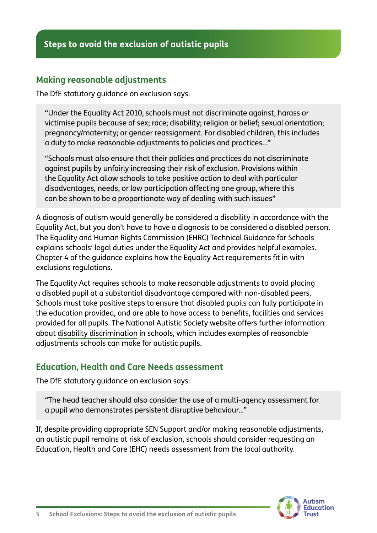#### **Making reasonable adjustments**

The DfE statutory guidance on exclusion says:

"Under the Equality Act 2010, schools must not discriminate against, harass or victimise pupils because of sex; race; disability; religion or belief; sexual orientation; pregnancy/maternity; or gender reassignment. For disabled children, this includes a duty to make reasonable adjustments to policies and practices…"

"Schools must also ensure that their policies and practices do not discriminate against pupils by unfairly increasing their risk of exclusion. Provisions within the Equality Act allow schools to take positive action to deal with particular disadvantages, needs, or low participation affecting one group, where this can be shown to be a proportionate way of dealing with such issues"

A diagnosis of autism would generally be considered a disability in accordance with the Equality Act, but you don't have to have a diagnosis to be considered a disabled person. [The Equality and Human Rights Commission \(EHRC\) Technical Guidance for Schools](https://www.equalityhumanrights.com/en/publication-download/technical-guidance-schools-england) explains schools' legal duties under the Equality Act and provides helpful examples. Chapter 4 of the guidance explains how the Equality Act requirements fit in with exclusions regulations.

The Equality Act requires schools to make reasonable adjustments to avoid placing a disabled pupil at a substantial disadvantage compared with non-disabled peers. Schools must take positive steps to ensure that disabled pupils can fully participate in the education provided, and are able to have access to benefits, facilities and services provided for all pupils. The National Autistic Society website offers further information about [disability discrimination](https://www.autism.org.uk/advice-and-guidance/topics/education/resolving-differences/england/disability-discrimination) in schools, which includes examples of reasonable adjustments schools can make for autistic pupils.

#### **Education, Health and Care Needs assessment**

The DfE statutory guidance on exclusion says:

"The head teacher should also consider the use of a multi-agency assessment for a pupil who demonstrates persistent disruptive behaviour…"

If, despite providing appropriate SEN Support and/or making reasonable adjustments, an autistic pupil remains at risk of exclusion, schools should consider requesting an Education, Health and Care (EHC) needs assessment from the local authority.

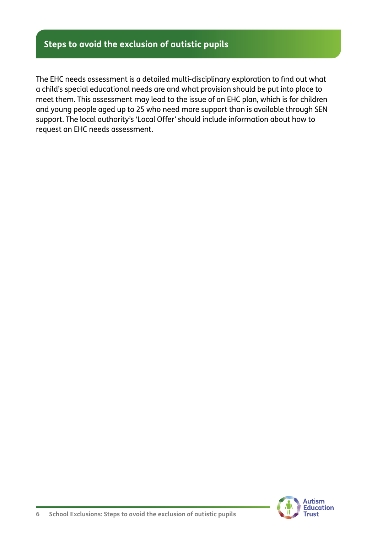#### **Steps to avoid the exclusion of autistic pupils**

The EHC needs assessment is a detailed multi-disciplinary exploration to find out what a child's special educational needs are and what provision should be put into place to meet them. This assessment may lead to the issue of an EHC plan, which is for children and young people aged up to 25 who need more support than is available through SEN support. The local authority's 'Local Offer' should include information about how to request an EHC needs assessment.